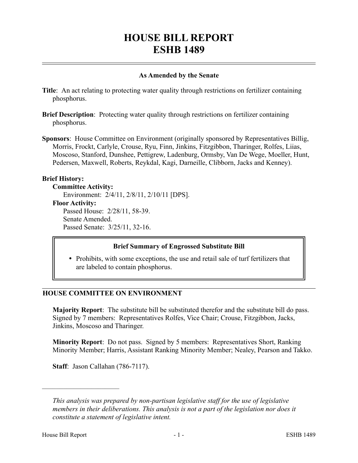# **HOUSE BILL REPORT ESHB 1489**

#### **As Amended by the Senate**

- **Title**: An act relating to protecting water quality through restrictions on fertilizer containing phosphorus.
- **Brief Description**: Protecting water quality through restrictions on fertilizer containing phosphorus.
- **Sponsors**: House Committee on Environment (originally sponsored by Representatives Billig, Morris, Frockt, Carlyle, Crouse, Ryu, Finn, Jinkins, Fitzgibbon, Tharinger, Rolfes, Liias, Moscoso, Stanford, Dunshee, Pettigrew, Ladenburg, Ormsby, Van De Wege, Moeller, Hunt, Pedersen, Maxwell, Roberts, Reykdal, Kagi, Darneille, Clibborn, Jacks and Kenney).

#### **Brief History:**

#### **Committee Activity:**

Environment: 2/4/11, 2/8/11, 2/10/11 [DPS].

#### **Floor Activity:**

Passed House: 2/28/11, 58-39. Senate Amended. Passed Senate: 3/25/11, 32-16.

## **Brief Summary of Engrossed Substitute Bill**

• Prohibits, with some exceptions, the use and retail sale of turf fertilizers that are labeled to contain phosphorus.

## **HOUSE COMMITTEE ON ENVIRONMENT**

**Majority Report**: The substitute bill be substituted therefor and the substitute bill do pass. Signed by 7 members: Representatives Rolfes, Vice Chair; Crouse, Fitzgibbon, Jacks, Jinkins, Moscoso and Tharinger.

**Minority Report**: Do not pass. Signed by 5 members: Representatives Short, Ranking Minority Member; Harris, Assistant Ranking Minority Member; Nealey, Pearson and Takko.

**Staff**: Jason Callahan (786-7117).

––––––––––––––––––––––

*This analysis was prepared by non-partisan legislative staff for the use of legislative members in their deliberations. This analysis is not a part of the legislation nor does it constitute a statement of legislative intent.*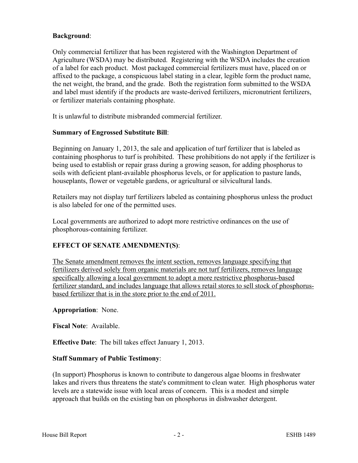## **Background**:

Only commercial fertilizer that has been registered with the Washington Department of Agriculture (WSDA) may be distributed. Registering with the WSDA includes the creation of a label for each product. Most packaged commercial fertilizers must have, placed on or affixed to the package, a conspicuous label stating in a clear, legible form the product name, the net weight, the brand, and the grade. Both the registration form submitted to the WSDA and label must identify if the products are waste-derived fertilizers, micronutrient fertilizers, or fertilizer materials containing phosphate.

It is unlawful to distribute misbranded commercial fertilizer.

## **Summary of Engrossed Substitute Bill**:

Beginning on January 1, 2013, the sale and application of turf fertilizer that is labeled as containing phosphorus to turf is prohibited. These prohibitions do not apply if the fertilizer is being used to establish or repair grass during a growing season, for adding phosphorus to soils with deficient plant-available phosphorus levels, or for application to pasture lands, houseplants, flower or vegetable gardens, or agricultural or silvicultural lands.

Retailers may not display turf fertilizers labeled as containing phosphorus unless the product is also labeled for one of the permitted uses.

Local governments are authorized to adopt more restrictive ordinances on the use of phosphorous-containing fertilizer.

# **EFFECT OF SENATE AMENDMENT(S)**:

The Senate amendment removes the intent section, removes language specifying that fertilizers derived solely from organic materials are not turf fertilizers, removes language specifically allowing a local government to adopt a more restrictive phosphorus-based fertilizer standard, and includes language that allows retail stores to sell stock of phosphorusbased fertilizer that is in the store prior to the end of 2011.

## **Appropriation**: None.

**Fiscal Note**: Available.

**Effective Date**: The bill takes effect January 1, 2013.

## **Staff Summary of Public Testimony**:

(In support) Phosphorus is known to contribute to dangerous algae blooms in freshwater lakes and rivers thus threatens the state's commitment to clean water. High phosphorus water levels are a statewide issue with local areas of concern. This is a modest and simple approach that builds on the existing ban on phosphorus in dishwasher detergent.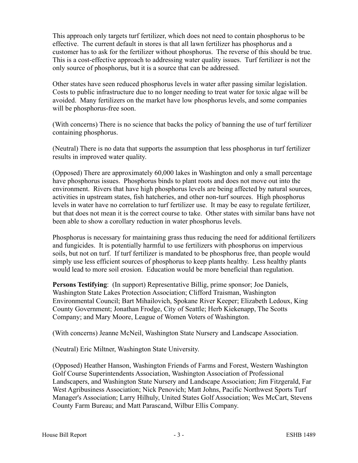This approach only targets turf fertilizer, which does not need to contain phosphorus to be effective. The current default in stores is that all lawn fertilizer has phosphorus and a customer has to ask for the fertilizer without phosphorus. The reverse of this should be true. This is a cost-effective approach to addressing water quality issues. Turf fertilizer is not the only source of phosphorus, but it is a source that can be addressed.

Other states have seen reduced phosphorus levels in water after passing similar legislation. Costs to public infrastructure due to no longer needing to treat water for toxic algae will be avoided. Many fertilizers on the market have low phosphorus levels, and some companies will be phosphorus-free soon.

(With concerns) There is no science that backs the policy of banning the use of turf fertilizer containing phosphorus.

(Neutral) There is no data that supports the assumption that less phosphorus in turf fertilizer results in improved water quality.

(Opposed) There are approximately 60,000 lakes in Washington and only a small percentage have phosphorus issues. Phosphorus binds to plant roots and does not move out into the environment. Rivers that have high phosphorus levels are being affected by natural sources, activities in upstream states, fish hatcheries, and other non-turf sources. High phosphorus levels in water have no correlation to turf fertilizer use. It may be easy to regulate fertilizer, but that does not mean it is the correct course to take. Other states with similar bans have not been able to show a corollary reduction in water phosphorus levels.

Phosphorus is necessary for maintaining grass thus reducing the need for additional fertilizers and fungicides. It is potentially harmful to use fertilizers with phosphorus on impervious soils, but not on turf. If turf fertilizer is mandated to be phosphorus free, than people would simply use less efficient sources of phosphorus to keep plants healthy. Less healthy plants would lead to more soil erosion. Education would be more beneficial than regulation.

**Persons Testifying**: (In support) Representative Billig, prime sponsor; Joe Daniels, Washington State Lakes Protection Association; Clifford Traisman, Washington Environmental Council; Bart Mihailovich, Spokane River Keeper; Elizabeth Ledoux, King County Government; Jonathan Frodge, City of Seattle; Herb Kiekenapp, The Scotts Company; and Mary Moore, League of Women Voters of Washington.

(With concerns) Jeanne McNeil, Washington State Nursery and Landscape Association.

(Neutral) Eric Miltner, Washington State University.

(Opposed) Heather Hanson, Washington Friends of Farms and Forest, Western Washington Golf Course Superintendents Association, Washington Association of Professional Landscapers, and Washington State Nursery and Landscape Association; Jim Fitzgerald, Far West Agribusiness Association; Nick Penovich; Matt Johns, Pacific Northwest Sports Turf Manager's Association; Larry Hilhuly, United States Golf Association; Wes McCart, Stevens County Farm Bureau; and Matt Parascand, Wilbur Ellis Company.